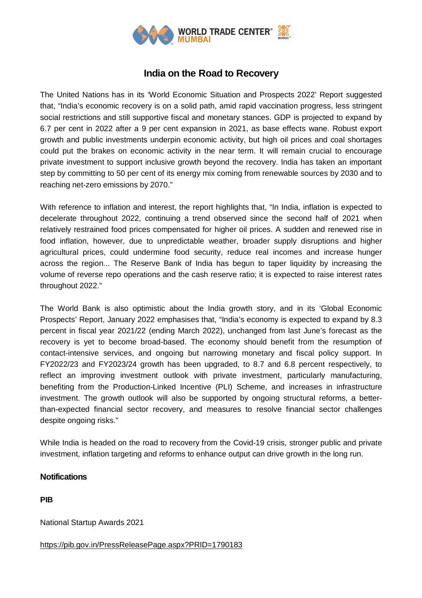

## **India on the Road to Recovery**

The United Nations has in its 'World Economic Situation and Prospects 2022' Report suggested that, "India's economic recovery is on a solid path, amid rapid vaccination progress, less stringent social restrictions and still supportive fiscal and monetary stances. GDP is projected to expand by 6.7 per cent in 2022 after a 9 per cent expansion in 2021, as base effects wane. Robust export growth and public investments underpin economic activity, but high oil prices and coal shortages could put the brakes on economic activity in the near term. It will remain crucial to encourage private investment to support inclusive growth beyond the recovery. India has taken an important step by committing to 50 per cent of its energy mix coming from renewable sources by 2030 and to reaching net-zero emissions by 2070."

With reference to inflation and interest, the report highlights that, "In India, inflation is expected to decelerate throughout 2022, continuing a trend observed since the second half of 2021 when relatively restrained food prices compensated for higher oil prices. A sudden and renewed rise in food inflation, however, due to unpredictable weather, broader supply disruptions and higher agricultural prices, could undermine food security, reduce real incomes and increase hunger across the region... The Reserve Bank of India has begun to taper liquidity by increasing the volume of reverse repo operations and the cash reserve ratio; it is expected to raise interest rates throughout 2022."

The World Bank is also optimistic about the India growth story, and in its 'Global Economic Prospects' Report, January 2022 emphasises that, "India's economy is expected to expand by 8.3 percent in fiscal year 2021/22 (ending March 2022), unchanged from last June's forecast as the recovery is yet to become broad-based. The economy should benefit from the resumption of contact-intensive services, and ongoing but narrowing monetary and fiscal policy support. In FY2022/23 and FY2023/24 growth has been upgraded, to 8.7 and 6.8 percent respectively, to reflect an improving investment outlook with private investment, particularly manufacturing, benefiting from the Production-Linked Incentive (PLI) Scheme, and increases in infrastructure investment. The growth outlook will also be supported by ongoing structural reforms, a betterthan-expected financial sector recovery, and measures to resolve financial sector challenges despite ongoing risks."

While India is headed on the road to recovery from the Covid-19 crisis, stronger public and private investment, inflation targeting and reforms to enhance output can drive growth in the long run.

## **Notifications**

**PIB**

National Startup Awards 2021

## https://pib.gov.in/PressReleasePage.aspx?PRID=1790183